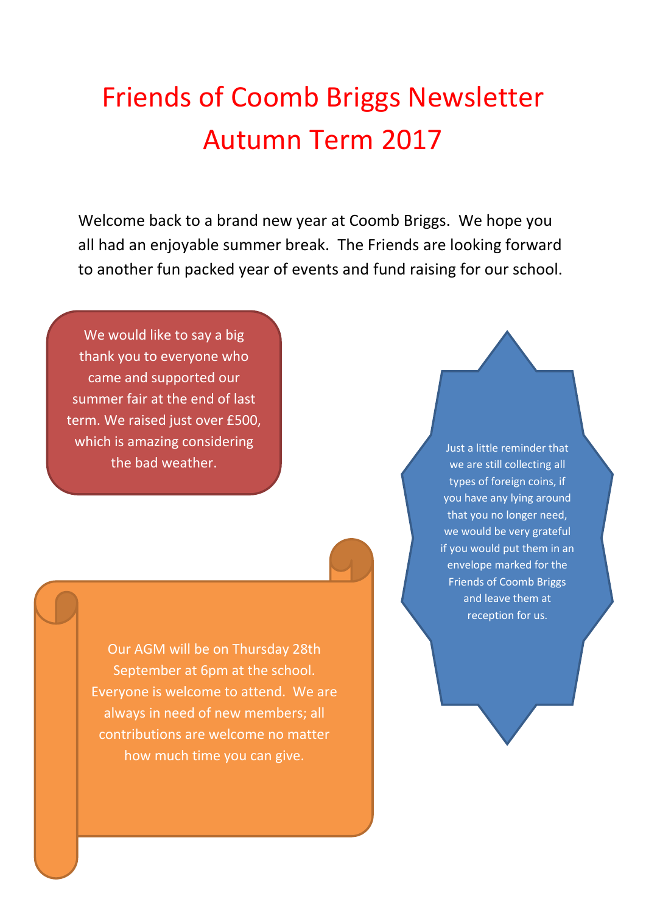## Friends of Coomb Briggs Newsletter Autumn Term 2017

Welcome back to a brand new year at Coomb Briggs. We hope you all had an enjoyable summer break. The Friends are looking forward to another fun packed year of events and fund raising for our school.

We would like to say a big thank you to everyone who came and supported our summer fair at the end of last term. We raised just over £500, which is amazing considering the bad weather.

> Our AGM will be on Thursday 28th September at 6pm at the school. Everyone is welcome to attend. We are always in need of new members; all contributions are welcome no matter how much time you can give.

Just a little reminder that we are still collecting all types of foreign coins, if you have any lying around that you no longer need, we would be very grateful if you would put them in an envelope marked for the Friends of Coomb Briggs and leave them at reception for us.